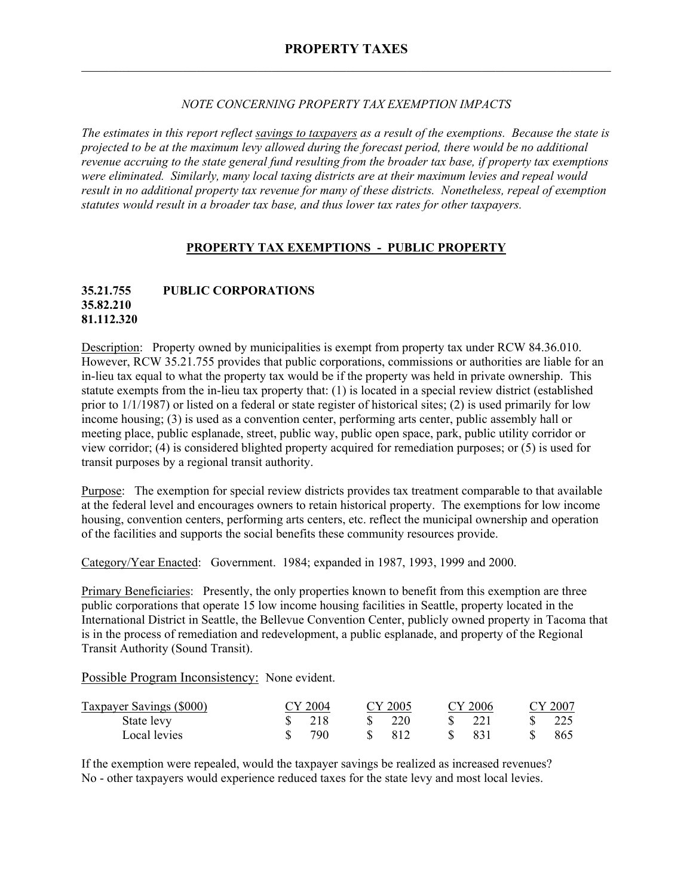### *NOTE CONCERNING PROPERTY TAX EXEMPTION IMPACTS*

*The estimates in this report reflect savings to taxpayers as a result of the exemptions. Because the state is projected to be at the maximum levy allowed during the forecast period, there would be no additional revenue accruing to the state general fund resulting from the broader tax base, if property tax exemptions were eliminated. Similarly, many local taxing districts are at their maximum levies and repeal would result in no additional property tax revenue for many of these districts. Nonetheless, repeal of exemption statutes would result in a broader tax base, and thus lower tax rates for other taxpayers.* 

## **PROPERTY TAX EXEMPTIONS - PUBLIC PROPERTY**

## **35.21.755 PUBLIC CORPORATIONS 35.82.210 81.112.320**

Description: Property owned by municipalities is exempt from property tax under RCW 84.36.010. However, RCW 35.21.755 provides that public corporations, commissions or authorities are liable for an in-lieu tax equal to what the property tax would be if the property was held in private ownership. This statute exempts from the in-lieu tax property that: (1) is located in a special review district (established prior to 1/1/1987) or listed on a federal or state register of historical sites; (2) is used primarily for low income housing; (3) is used as a convention center, performing arts center, public assembly hall or meeting place, public esplanade, street, public way, public open space, park, public utility corridor or view corridor; (4) is considered blighted property acquired for remediation purposes; or (5) is used for transit purposes by a regional transit authority.

Purpose: The exemption for special review districts provides tax treatment comparable to that available at the federal level and encourages owners to retain historical property. The exemptions for low income housing, convention centers, performing arts centers, etc. reflect the municipal ownership and operation of the facilities and supports the social benefits these community resources provide.

Category/Year Enacted: Government. 1984; expanded in 1987, 1993, 1999 and 2000.

Primary Beneficiaries: Presently, the only properties known to benefit from this exemption are three public corporations that operate 15 low income housing facilities in Seattle, property located in the International District in Seattle, the Bellevue Convention Center, publicly owned property in Tacoma that is in the process of remediation and redevelopment, a public esplanade, and property of the Regional Transit Authority (Sound Transit).

Possible Program Inconsistency: None evident.

| <b>Taxpayer Savings (\$000)</b> | CY 2004           | CY 2005 |    | CY 2006 |              | CY 2007 |
|---------------------------------|-------------------|---------|----|---------|--------------|---------|
| State levy                      | $\frac{1}{2}$ 218 | 220     | S. | 221     | $\mathbf{x}$ | - 225   |
| Local levies                    | 790               | -812    | X. | -831    |              | -865    |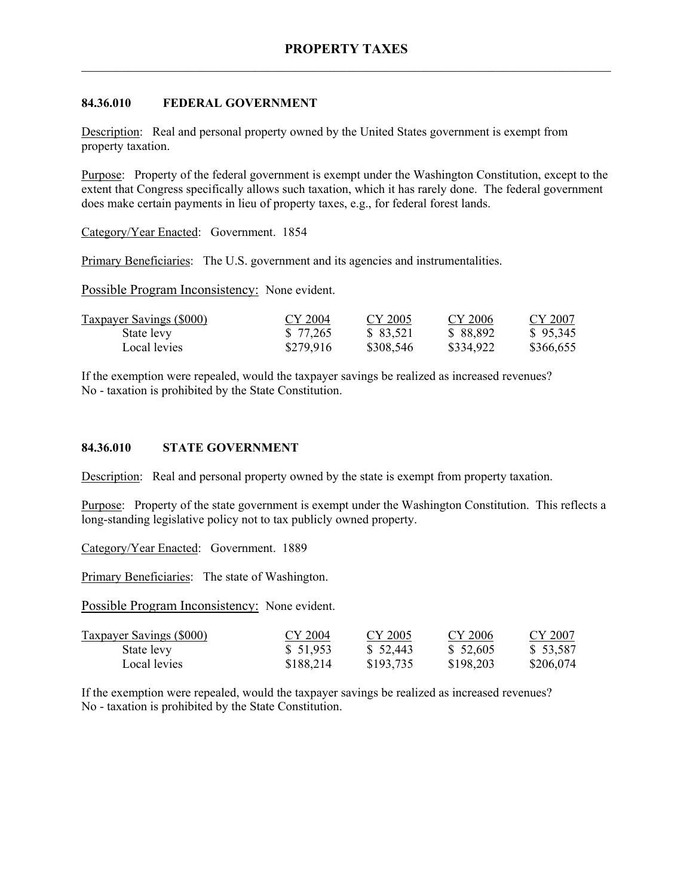## **84.36.010 FEDERAL GOVERNMENT**

Description: Real and personal property owned by the United States government is exempt from property taxation.

Purpose: Property of the federal government is exempt under the Washington Constitution, except to the extent that Congress specifically allows such taxation, which it has rarely done. The federal government does make certain payments in lieu of property taxes, e.g., for federal forest lands.

Category/Year Enacted: Government. 1854

Primary Beneficiaries: The U.S. government and its agencies and instrumentalities.

Possible Program Inconsistency: None evident.

| <b>Taxpayer Savings (\$000)</b> | CY 2004   | CY 2005   | CY 2006   | CY 2007   |
|---------------------------------|-----------|-----------|-----------|-----------|
| State levy                      | \$ 77,265 | \$ 83,521 | \$ 88,892 | \$95,345  |
| Local levies                    | \$279,916 | \$308,546 | \$334,922 | \$366,655 |

If the exemption were repealed, would the taxpayer savings be realized as increased revenues? No - taxation is prohibited by the State Constitution.

### **84.36.010 STATE GOVERNMENT**

Description: Real and personal property owned by the state is exempt from property taxation.

Purpose: Property of the state government is exempt under the Washington Constitution. This reflects a long-standing legislative policy not to tax publicly owned property.

Category/Year Enacted: Government. 1889

Primary Beneficiaries: The state of Washington.

Possible Program Inconsistency: None evident.

| <b>Taxpayer Savings (\$000)</b> | CY 2004   | CY 2005   | CY 2006   | CY 2007   |
|---------------------------------|-----------|-----------|-----------|-----------|
| State levy                      | \$ 51,953 | \$52,443  | \$52,605  | \$ 53,587 |
| Local levies                    | \$188,214 | \$193,735 | \$198,203 | \$206,074 |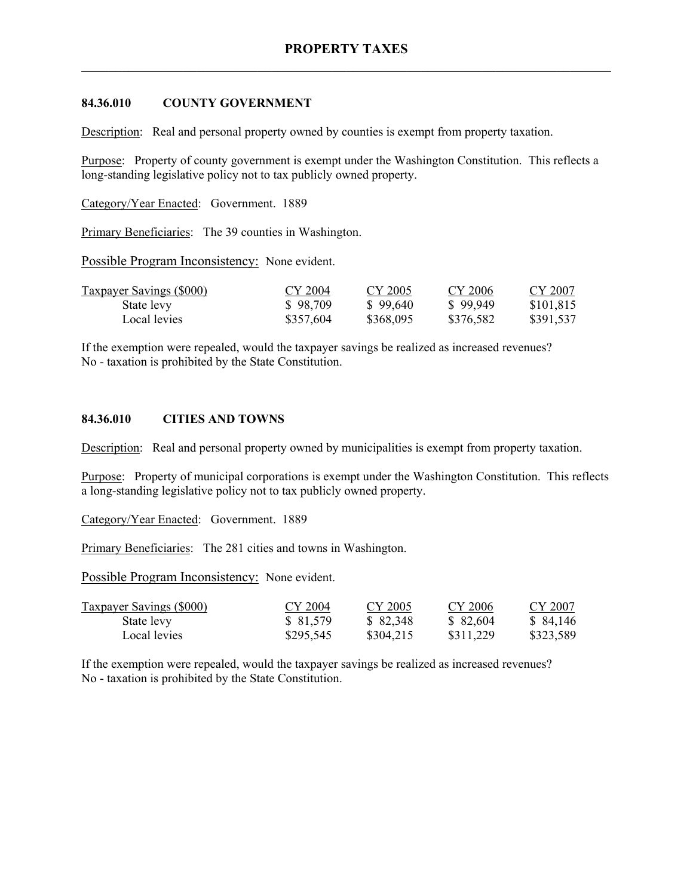### **84.36.010 COUNTY GOVERNMENT**

Description: Real and personal property owned by counties is exempt from property taxation.

Purpose: Property of county government is exempt under the Washington Constitution. This reflects a long-standing legislative policy not to tax publicly owned property.

Category/Year Enacted: Government. 1889

Primary Beneficiaries: The 39 counties in Washington.

Possible Program Inconsistency: None evident.

| <b>Taxpayer Savings (\$000)</b> | CY 2004   | CY 2005   | CY 2006   | CY 2007   |
|---------------------------------|-----------|-----------|-----------|-----------|
| State levy                      | \$98,709  | \$99.640  | \$99.949  | \$101,815 |
| Local levies                    | \$357,604 | \$368,095 | \$376,582 | \$391,537 |

If the exemption were repealed, would the taxpayer savings be realized as increased revenues? No - taxation is prohibited by the State Constitution.

#### **84.36.010 CITIES AND TOWNS**

Description: Real and personal property owned by municipalities is exempt from property taxation.

Purpose: Property of municipal corporations is exempt under the Washington Constitution. This reflects a long-standing legislative policy not to tax publicly owned property.

Category/Year Enacted: Government. 1889

Primary Beneficiaries: The 281 cities and towns in Washington.

Possible Program Inconsistency: None evident.

| <b>Taxpayer Savings (\$000)</b> | CY 2004   | CY 2005   | CY 2006   | CY 2007   |
|---------------------------------|-----------|-----------|-----------|-----------|
| State levy                      | \$ 81,579 | \$82,348  | \$ 82,604 | \$ 84,146 |
| Local levies                    | \$295,545 | \$304,215 | \$311,229 | \$323,589 |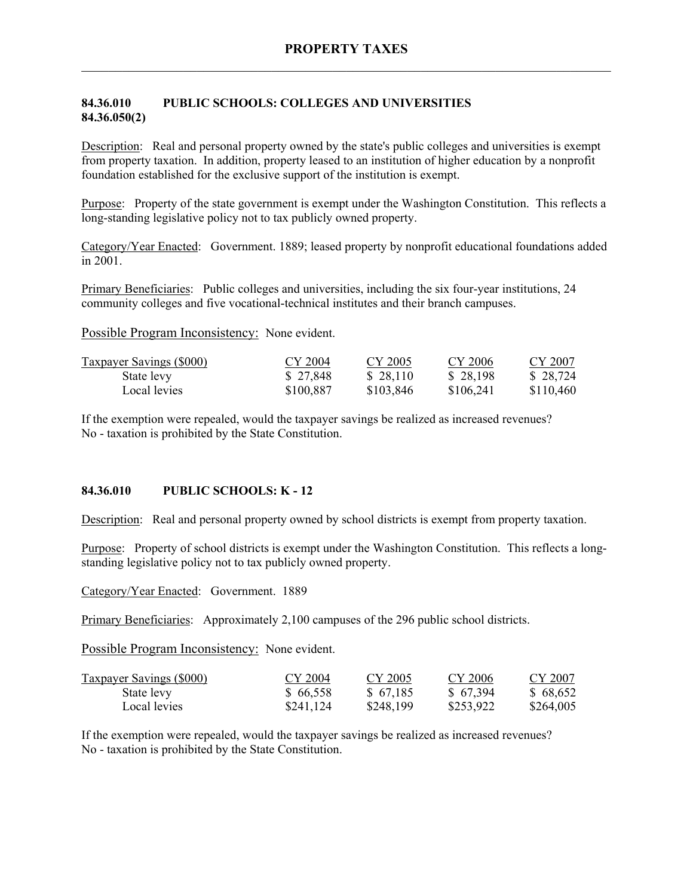## **84.36.010 PUBLIC SCHOOLS: COLLEGES AND UNIVERSITIES 84.36.050(2)**

Description: Real and personal property owned by the state's public colleges and universities is exempt from property taxation. In addition, property leased to an institution of higher education by a nonprofit foundation established for the exclusive support of the institution is exempt.

Purpose: Property of the state government is exempt under the Washington Constitution. This reflects a long-standing legislative policy not to tax publicly owned property.

Category/Year Enacted: Government. 1889; leased property by nonprofit educational foundations added in 2001.

Primary Beneficiaries: Public colleges and universities, including the six four-year institutions, 24 community colleges and five vocational-technical institutes and their branch campuses.

Possible Program Inconsistency: None evident.

| <b>Taxpayer Savings (\$000)</b> | CY 2004   | CY 2005   | CY 2006   | CY 2007   |
|---------------------------------|-----------|-----------|-----------|-----------|
| State levy                      | \$27,848  | \$28,110  | \$28,198  | \$28,724  |
| Local levies                    | \$100,887 | \$103,846 | \$106,241 | \$110.460 |

If the exemption were repealed, would the taxpayer savings be realized as increased revenues? No - taxation is prohibited by the State Constitution.

### **84.36.010 PUBLIC SCHOOLS: K - 12**

Description: Real and personal property owned by school districts is exempt from property taxation.

Purpose: Property of school districts is exempt under the Washington Constitution. This reflects a longstanding legislative policy not to tax publicly owned property.

Category/Year Enacted: Government. 1889

Primary Beneficiaries: Approximately 2,100 campuses of the 296 public school districts.

Possible Program Inconsistency: None evident.

| <b>Taxpayer Savings (\$000)</b> | CY 2004   | CY 2005   | CY 2006   | CY 2007   |
|---------------------------------|-----------|-----------|-----------|-----------|
| State levy                      | \$66,558  | \$67,185  | \$67,394  | \$68,652  |
| Local levies                    | \$241,124 | \$248,199 | \$253,922 | \$264,005 |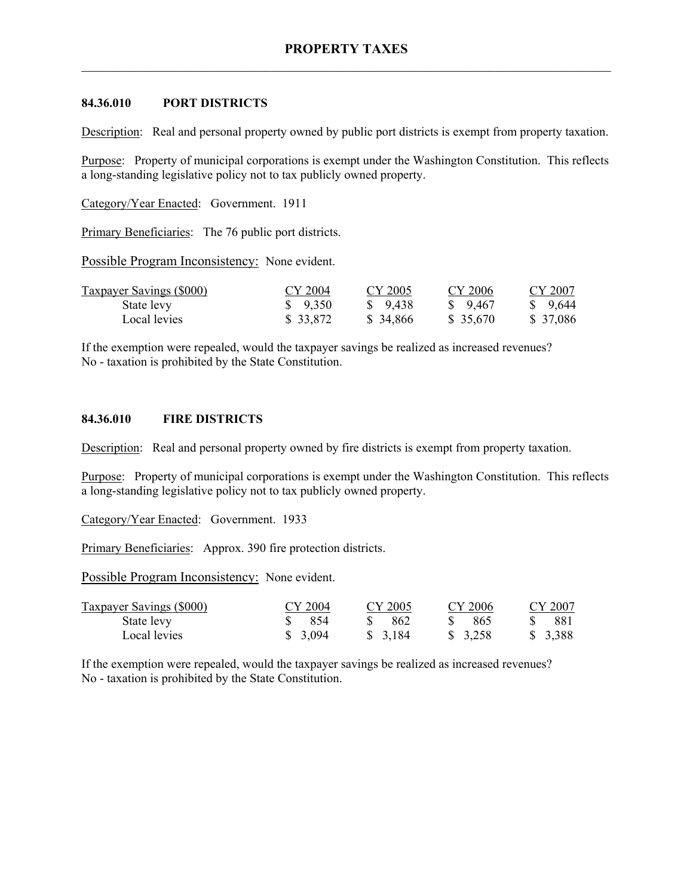### **84.36.010 PORT DISTRICTS**

Description: Real and personal property owned by public port districts is exempt from property taxation.

Purpose: Property of municipal corporations is exempt under the Washington Constitution. This reflects a long-standing legislative policy not to tax publicly owned property.

Category/Year Enacted: Government. 1911

Primary Beneficiaries: The 76 public port districts.

Possible Program Inconsistency: None evident.

| <b>Taxpayer Savings (\$000)</b> | CY 2004            | CY 2005   | CY 2006  | CY 2007   |
|---------------------------------|--------------------|-----------|----------|-----------|
| State levy                      | $\frac{\$}{9.350}$ | \$ 9.438  | \$ 9.467 | \$ 9.644  |
| Local levies                    | \$ 33,872          | \$ 34,866 | \$35,670 | \$ 37,086 |

If the exemption were repealed, would the taxpayer savings be realized as increased revenues? No - taxation is prohibited by the State Constitution.

#### **84.36.010 FIRE DISTRICTS**

Description: Real and personal property owned by fire districts is exempt from property taxation.

Purpose: Property of municipal corporations is exempt under the Washington Constitution. This reflects a long-standing legislative policy not to tax publicly owned property.

Category/Year Enacted: Government. 1933

Primary Beneficiaries: Approx. 390 fire protection districts.

Possible Program Inconsistency: None evident.

| <b>Taxpayer Savings (\$000)</b> | CY 2004           | CY 2005 | CY 2006  | CY 2007 |
|---------------------------------|-------------------|---------|----------|---------|
| State levy                      | $\frac{1}{2}$ 854 | -862    | - 865    | -881 -  |
| Local levies                    | \$3,094           | \$3,184 | \$ 3,258 | \$3,388 |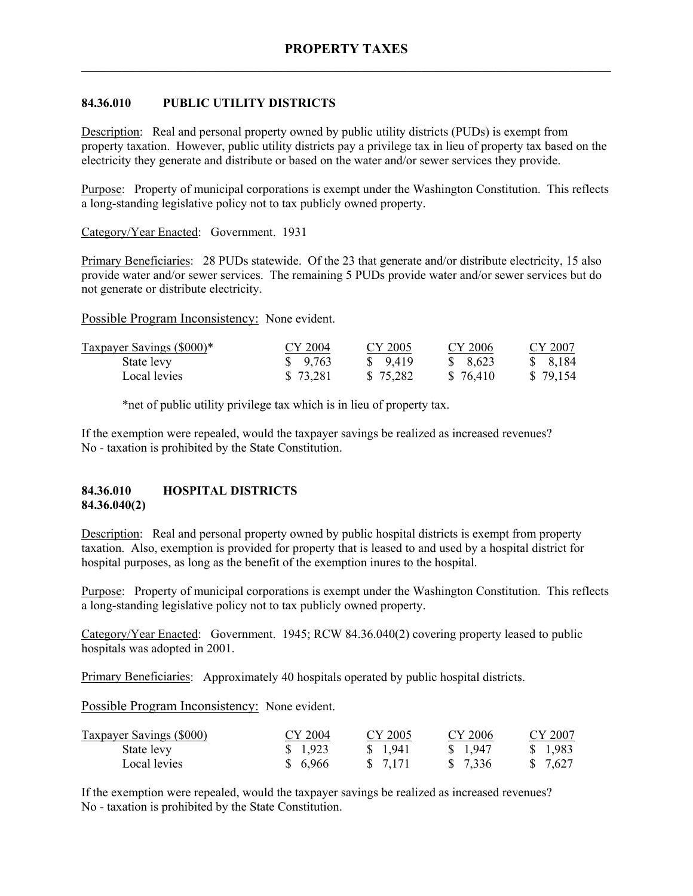## **84.36.010 PUBLIC UTILITY DISTRICTS**

Description: Real and personal property owned by public utility districts (PUDs) is exempt from property taxation. However, public utility districts pay a privilege tax in lieu of property tax based on the electricity they generate and distribute or based on the water and/or sewer services they provide.

Purpose: Property of municipal corporations is exempt under the Washington Constitution. This reflects a long-standing legislative policy not to tax publicly owned property.

Category/Year Enacted: Government. 1931

Primary Beneficiaries: 28 PUDs statewide. Of the 23 that generate and/or distribute electricity, 15 also provide water and/or sewer services. The remaining 5 PUDs provide water and/or sewer services but do not generate or distribute electricity.

Possible Program Inconsistency: None evident.

| Taxpayer Savings (\$000)* | CY 2004  | CY 2005  | CY 2006   | CY 2007  |
|---------------------------|----------|----------|-----------|----------|
| State levy                | \$9,763  | \$ 9.419 | \$ 8.623  | \$ 8,184 |
| Local levies              | \$73,281 | \$75,282 | \$ 76,410 | \$79,154 |

\*net of public utility privilege tax which is in lieu of property tax.

If the exemption were repealed, would the taxpayer savings be realized as increased revenues? No - taxation is prohibited by the State Constitution.

### **84.36.010 HOSPITAL DISTRICTS 84.36.040(2)**

Description: Real and personal property owned by public hospital districts is exempt from property taxation. Also, exemption is provided for property that is leased to and used by a hospital district for hospital purposes, as long as the benefit of the exemption inures to the hospital.

Purpose: Property of municipal corporations is exempt under the Washington Constitution. This reflects a long-standing legislative policy not to tax publicly owned property.

Category/Year Enacted: Government. 1945; RCW 84.36.040(2) covering property leased to public hospitals was adopted in 2001.

Primary Beneficiaries: Approximately 40 hospitals operated by public hospital districts.

Possible Program Inconsistency: None evident.

| <b>Taxpayer Savings (\$000)</b> | CY 2004 | CY 2005  | CY 2006  | CY 2007  |
|---------------------------------|---------|----------|----------|----------|
| State levy                      | \$1,923 | \$ 1,941 | \$ 1,947 | \$ 1.983 |
| Local levies                    | \$6,966 | \$ 7.171 | \$ 7,336 | \$ 7.627 |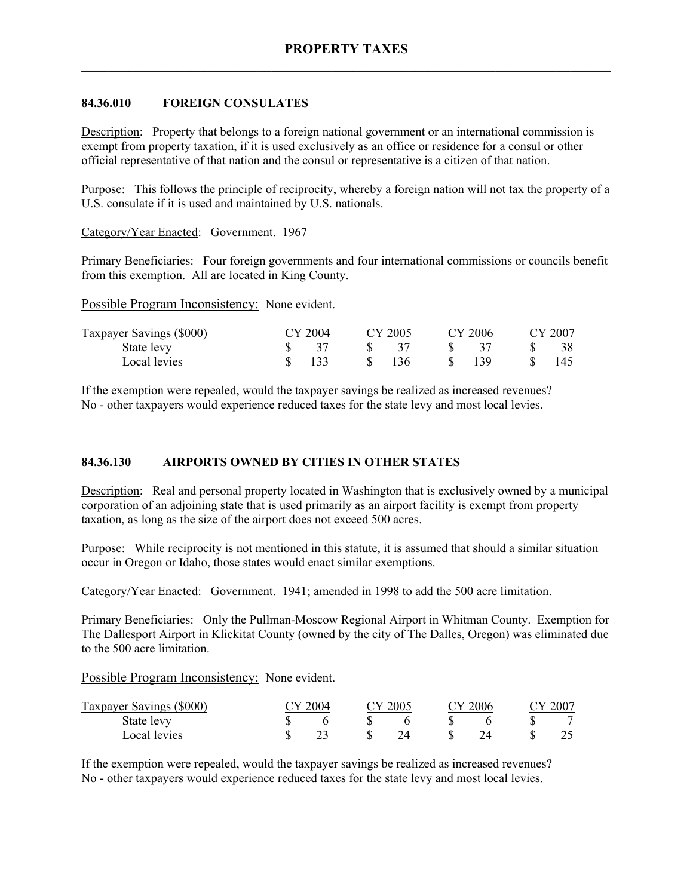### **84.36.010 FOREIGN CONSULATES**

Description: Property that belongs to a foreign national government or an international commission is exempt from property taxation, if it is used exclusively as an office or residence for a consul or other official representative of that nation and the consul or representative is a citizen of that nation.

Purpose: This follows the principle of reciprocity, whereby a foreign nation will not tax the property of a U.S. consulate if it is used and maintained by U.S. nationals.

Category/Year Enacted: Government. 1967

Primary Beneficiaries: Four foreign governments and four international commissions or councils benefit from this exemption. All are located in King County.

Possible Program Inconsistency: None evident.

| Taxpayer Savings (\$000) | CY 2004 | CY 2005 |    | CY 2006 |    | CY 2007 |
|--------------------------|---------|---------|----|---------|----|---------|
| State levy               |         |         | S. |         | S. | 38      |
| Local levies             | 133     | \$136   |    | 139     |    |         |

If the exemption were repealed, would the taxpayer savings be realized as increased revenues? No - other taxpayers would experience reduced taxes for the state levy and most local levies.

## **84.36.130 AIRPORTS OWNED BY CITIES IN OTHER STATES**

Description: Real and personal property located in Washington that is exclusively owned by a municipal corporation of an adjoining state that is used primarily as an airport facility is exempt from property taxation, as long as the size of the airport does not exceed 500 acres.

Purpose: While reciprocity is not mentioned in this statute, it is assumed that should a similar situation occur in Oregon or Idaho, those states would enact similar exemptions.

Category/Year Enacted: Government. 1941; amended in 1998 to add the 500 acre limitation.

Primary Beneficiaries: Only the Pullman-Moscow Regional Airport in Whitman County. Exemption for The Dallesport Airport in Klickitat County (owned by the city of The Dalles, Oregon) was eliminated due to the 500 acre limitation.

Possible Program Inconsistency: None evident.

| Taxpayer Savings (\$000) | TY 2004<br>CY 2005 |  | 2006 |  | EY 2007 |  |  |
|--------------------------|--------------------|--|------|--|---------|--|--|
| State levy               |                    |  |      |  |         |  |  |
| Local levies             |                    |  | 24   |  |         |  |  |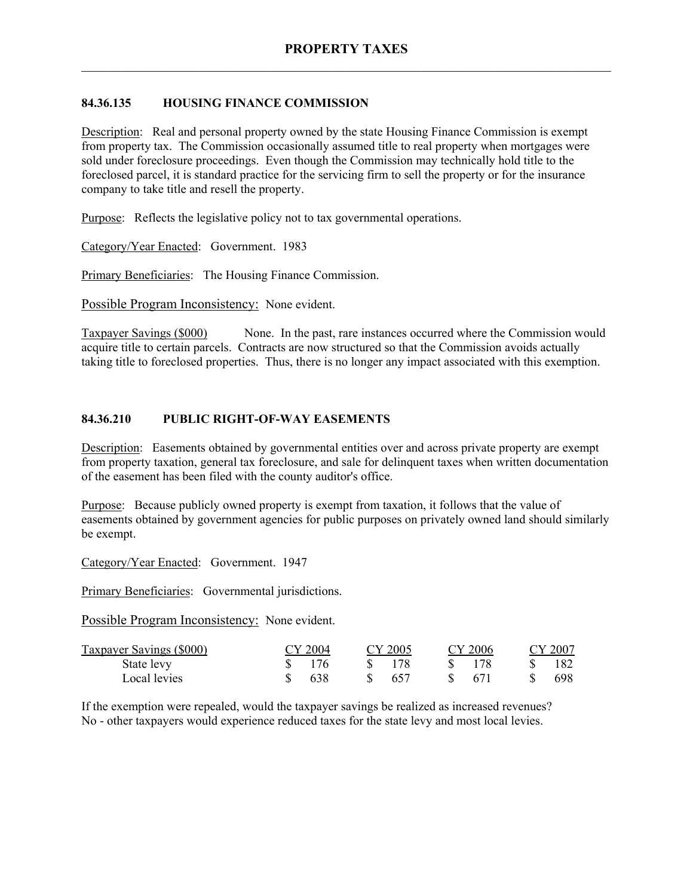## **84.36.135 HOUSING FINANCE COMMISSION**

Description: Real and personal property owned by the state Housing Finance Commission is exempt from property tax. The Commission occasionally assumed title to real property when mortgages were sold under foreclosure proceedings. Even though the Commission may technically hold title to the foreclosed parcel, it is standard practice for the servicing firm to sell the property or for the insurance company to take title and resell the property.

Purpose: Reflects the legislative policy not to tax governmental operations.

Category/Year Enacted: Government. 1983

Primary Beneficiaries: The Housing Finance Commission.

Possible Program Inconsistency: None evident.

Taxpayer Savings (\$000) None. In the past, rare instances occurred where the Commission would acquire title to certain parcels. Contracts are now structured so that the Commission avoids actually taking title to foreclosed properties. Thus, there is no longer any impact associated with this exemption.

## **84.36.210 PUBLIC RIGHT-OF-WAY EASEMENTS**

Description: Easements obtained by governmental entities over and across private property are exempt from property taxation, general tax foreclosure, and sale for delinquent taxes when written documentation of the easement has been filed with the county auditor's office.

Purpose: Because publicly owned property is exempt from taxation, it follows that the value of easements obtained by government agencies for public purposes on privately owned land should similarly be exempt.

Category/Year Enacted: Government. 1947

Primary Beneficiaries: Governmental jurisdictions.

Possible Program Inconsistency: None evident.

| Taxpayer Savings (\$000) | CY 2004 | CY 2005 | CY 2006       | CY 2007 |
|--------------------------|---------|---------|---------------|---------|
| State levy               | 176     |         |               | -182    |
| Local levies             | 638     | 657     | -671<br>$S =$ | 698     |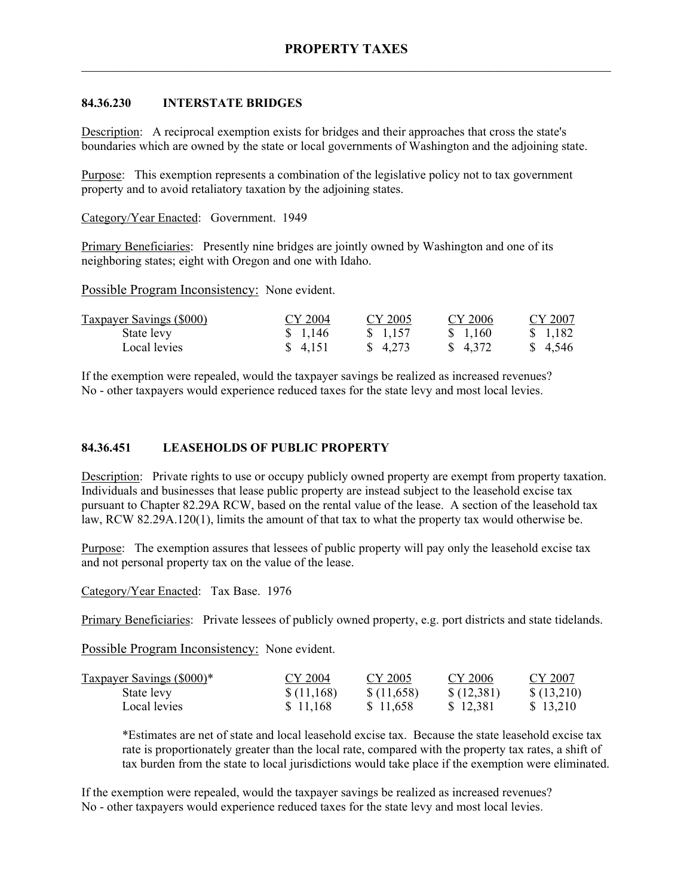## **84.36.230 INTERSTATE BRIDGES**

Description: A reciprocal exemption exists for bridges and their approaches that cross the state's boundaries which are owned by the state or local governments of Washington and the adjoining state.

Purpose: This exemption represents a combination of the legislative policy not to tax government property and to avoid retaliatory taxation by the adjoining states.

Category/Year Enacted: Government. 1949

Primary Beneficiaries: Presently nine bridges are jointly owned by Washington and one of its neighboring states; eight with Oregon and one with Idaho.

Possible Program Inconsistency: None evident.

| <b>Taxpayer Savings (\$000)</b> | CY 2004 | CY 2005  | CY 2006  | CY 2007  |
|---------------------------------|---------|----------|----------|----------|
| State levy                      | \$1,146 | \$ 1.157 | \$ 1,160 | \$ 1,182 |
| Local levies                    | \$4,151 | \$ 4.273 | \$ 4.372 | \$ 4,546 |

If the exemption were repealed, would the taxpayer savings be realized as increased revenues? No - other taxpayers would experience reduced taxes for the state levy and most local levies.

## **84.36.451 LEASEHOLDS OF PUBLIC PROPERTY**

Description: Private rights to use or occupy publicly owned property are exempt from property taxation. Individuals and businesses that lease public property are instead subject to the leasehold excise tax pursuant to Chapter 82.29A RCW, based on the rental value of the lease. A section of the leasehold tax law, RCW 82.29A.120(1), limits the amount of that tax to what the property tax would otherwise be.

Purpose: The exemption assures that lessees of public property will pay only the leasehold excise tax and not personal property tax on the value of the lease.

Category/Year Enacted: Tax Base. 1976

Primary Beneficiaries: Private lessees of publicly owned property, e.g. port districts and state tidelands.

Possible Program Inconsistency: None evident.

| Taxpayer Savings (\$000)* | CY 2004    | CY 2005    | CY 2006    | CY 2007    |
|---------------------------|------------|------------|------------|------------|
| State levy                | \$(11,168) | \$(11,658) | \$(12,381) | \$(13,210) |
| Local levies              | \$11.168   | \$11.658   | \$12,381   | \$13,210   |

\*Estimates are net of state and local leasehold excise tax. Because the state leasehold excise tax rate is proportionately greater than the local rate, compared with the property tax rates, a shift of tax burden from the state to local jurisdictions would take place if the exemption were eliminated.